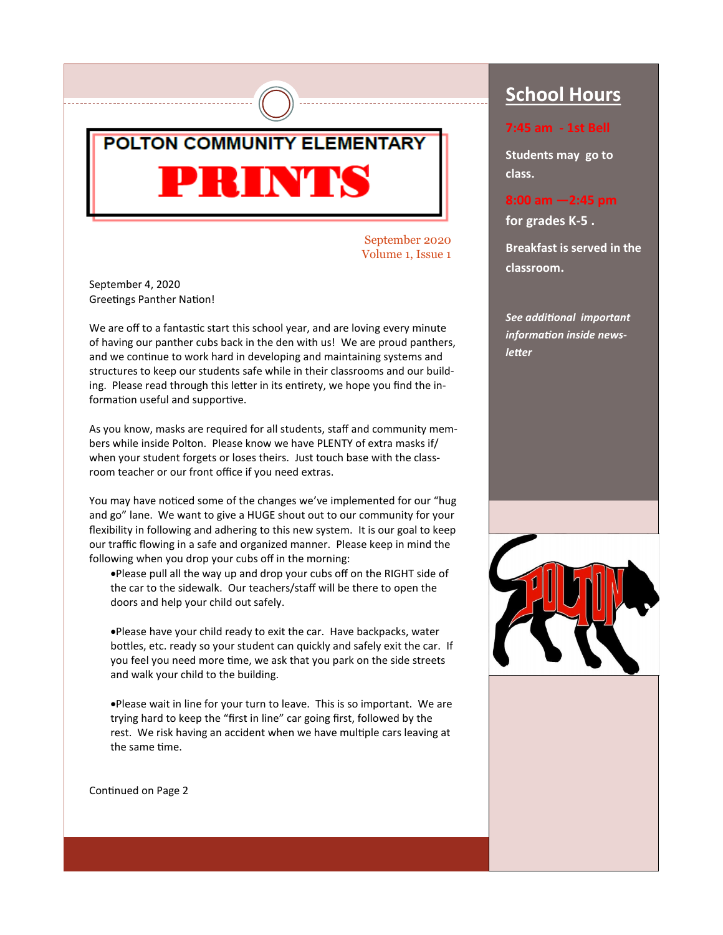

September 2020 Volume 1, Issue 1

September 4, 2020 Greetings Panther Nation!

We are off to a fantastic start this school year, and are loving every minute of having our panther cubs back in the den with us! We are proud panthers, and we continue to work hard in developing and maintaining systems and structures to keep our students safe while in their classrooms and our building. Please read through this letter in its entirety, we hope you find the information useful and supportive.

As you know, masks are required for all students, staff and community members while inside Polton. Please know we have PLENTY of extra masks if/ when your student forgets or loses theirs. Just touch base with the classroom teacher or our front office if you need extras.

You may have noticed some of the changes we've implemented for our "hug and go" lane. We want to give a HUGE shout out to our community for your flexibility in following and adhering to this new system. It is our goal to keep our traffic flowing in a safe and organized manner. Please keep in mind the following when you drop your cubs off in the morning:

•Please pull all the way up and drop your cubs off on the RIGHT side of the car to the sidewalk. Our teachers/staff will be there to open the doors and help your child out safely.

•Please have your child ready to exit the car. Have backpacks, water bottles, etc. ready so your student can quickly and safely exit the car. If you feel you need more time, we ask that you park on the side streets and walk your child to the building.

•Please wait in line for your turn to leave. This is so important. We are trying hard to keep the "first in line" car going first, followed by the rest. We risk having an accident when we have multiple cars leaving at the same time.

Continued on Page 2

## **School Hours**

#### **7:45 am - 1st Bell**

**Students may go to class.** 

#### **8:00 am —2:45 pm**

**for grades K-5 .** 

**Breakfast is served in the classroom.** 

*See additional important information inside newsletter*

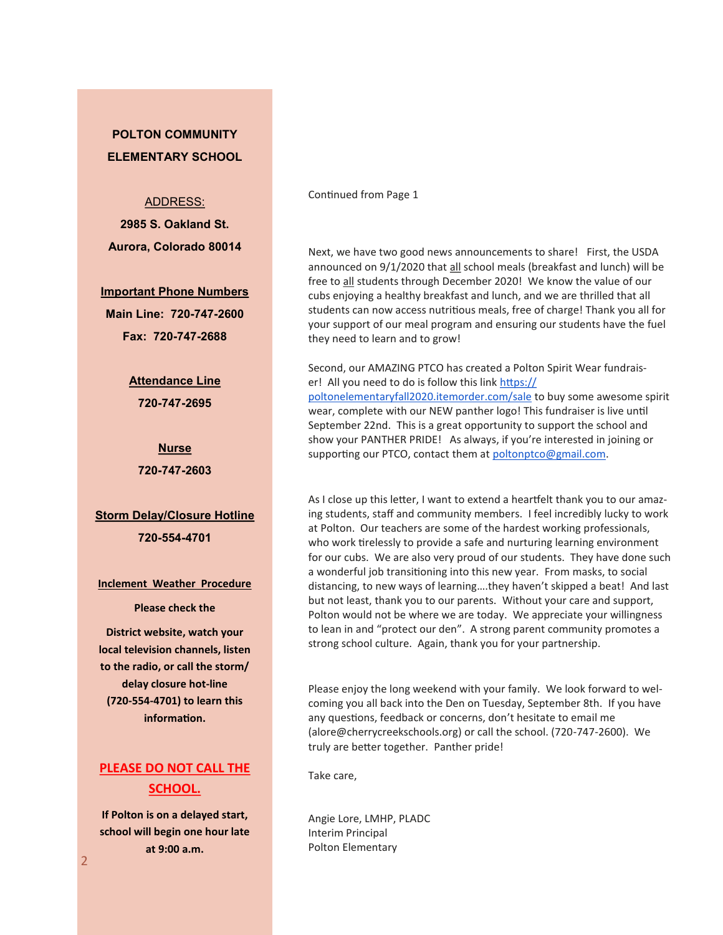### **POLTON COMMUNITY ELEMENTARY SCHOOL**

ADDRESS:

**2985 S. Oakland St. Aurora, Colorado 80014** 

**Important Phone Numbers Main Line: 720-747-2600 Fax: 720-747-2688** 

> **Attendance Line 720-747-2695**

**Nurse 720-747-2603** 

**Storm Delay/Closure Hotline 720-554-4701** 

**Inclement Weather Procedure**

**Please check the** 

**District website, watch your local television channels, listen to the radio, or call the storm/ delay closure hot-line (720-554-4701) to learn this information.**

### **PLEASE DO NOT CALL THE SCHOOL.**

**If Polton is on a delayed start, school will begin one hour late at 9:00 a.m.** 

Continued from Page 1

Next, we have two good news announcements to share! First, the USDA announced on 9/1/2020 that all school meals (breakfast and lunch) will be free to all students through December 2020! We know the value of our cubs enjoying a healthy breakfast and lunch, and we are thrilled that all students can now access nutritious meals, free of charge! Thank you all for your support of our meal program and ensuring our students have the fuel they need to learn and to grow!

Second, our AMAZING PTCO has created a Polton Spirit Wear fundraiser! All you need to do is follow this link [https://](https://poltonelementaryfall2020.itemorder.com/sale) [poltonelementaryfall2020.itemorder.com/sale](https://poltonelementaryfall2020.itemorder.com/sale) to buy some awesome spirit wear, complete with our NEW panther logo! This fundraiser is live until September 22nd. This is a great opportunity to support the school and show your PANTHER PRIDE! As always, if you're interested in joining or supporting our PTCO, contact them at [poltonptco@gmail.com.](mailto:poltonptco@gmail.com)

As I close up this letter, I want to extend a heartfelt thank you to our amazing students, staff and community members. I feel incredibly lucky to work at Polton. Our teachers are some of the hardest working professionals, who work tirelessly to provide a safe and nurturing learning environment for our cubs. We are also very proud of our students. They have done such a wonderful job transitioning into this new year. From masks, to social distancing, to new ways of learning….they haven't skipped a beat! And last but not least, thank you to our parents. Without your care and support, Polton would not be where we are today. We appreciate your willingness to lean in and "protect our den". A strong parent community promotes a strong school culture. Again, thank you for your partnership.

Please enjoy the long weekend with your family. We look forward to welcoming you all back into the Den on Tuesday, September 8th. If you have any questions, feedback or concerns, don't hesitate to email me (alore@cherrycreekschools.org) or call the school. (720-747-2600). We truly are better together. Panther pride!

Take care,

Angie Lore, LMHP, PLADC Interim Principal Polton Elementary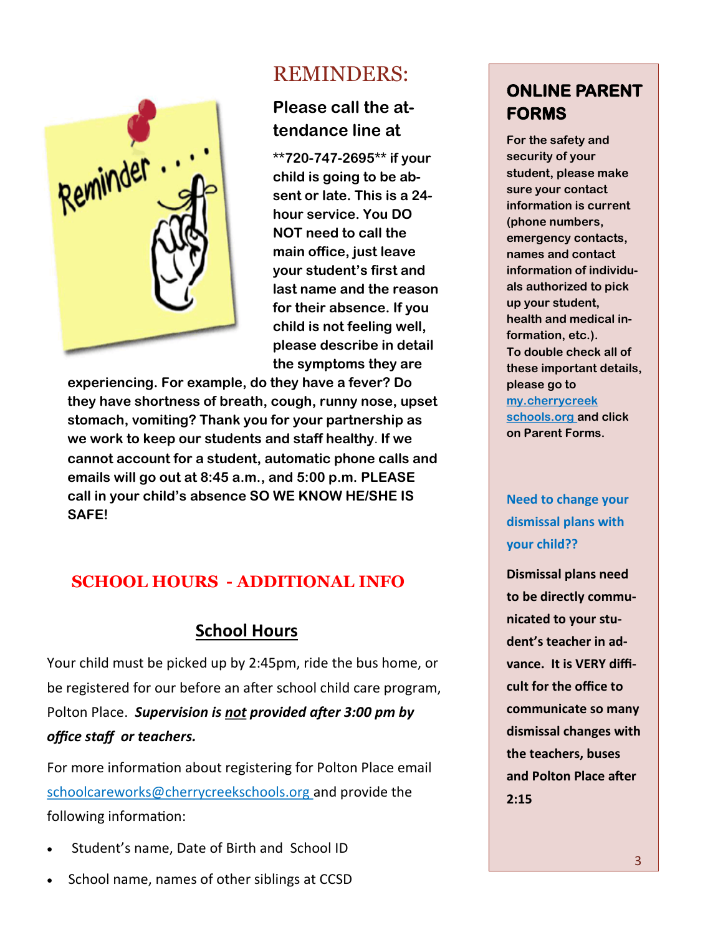

# REMINDERS:

## **Please call the attendance line at**

**\*\*720-747-2695\*\* if your child is going to be absent or late. This is a 24 hour service. You DO NOT need to call the main office, just leave your student's first and last name and the reason for their absence. If you child is not feeling well, please describe in detail the symptoms they are** 

**experiencing. For example, do they have a fever? Do they have shortness of breath, cough, runny nose, upset stomach, vomiting? Thank you for your partnership as we work to keep our students and staff healthy**. **If we cannot account for a student, automatic phone calls and emails will go out at 8:45 a.m., and 5:00 p.m. PLEASE call in your child's absence SO WE KNOW HE/SHE IS SAFE!** 

## **SCHOOL HOURS - ADDITIONAL INFO**

## **School Hours**

Your child must be picked up by 2:45pm, ride the bus home, or be registered for our before an after school child care program, Polton Place. *Supervision is not provided after 3:00 pm by office staff or teachers.* 

For more information about registering for Polton Place email schoolcareworks@cherrycreekschools.org and provide the following information:

- Student's name, Date of Birth and School ID
- School name, names of other siblings at CCSD

# **ONLINE PARENT FORMS**

**For the safety and security of your student, please make sure your contact information is current (phone numbers, emergency contacts, names and contact information of individuals authorized to pick up your student, health and medical information, etc.). To double check all of these important details, please go to my.cherrycreek schools.org and click on Parent Forms.** 

## **Need to change your dismissal plans with your child??**

**Dismissal plans need to be directly communicated to your student's teacher in advance. It is VERY difficult for the office to communicate so many dismissal changes with the teachers, buses and Polton Place after 2:15**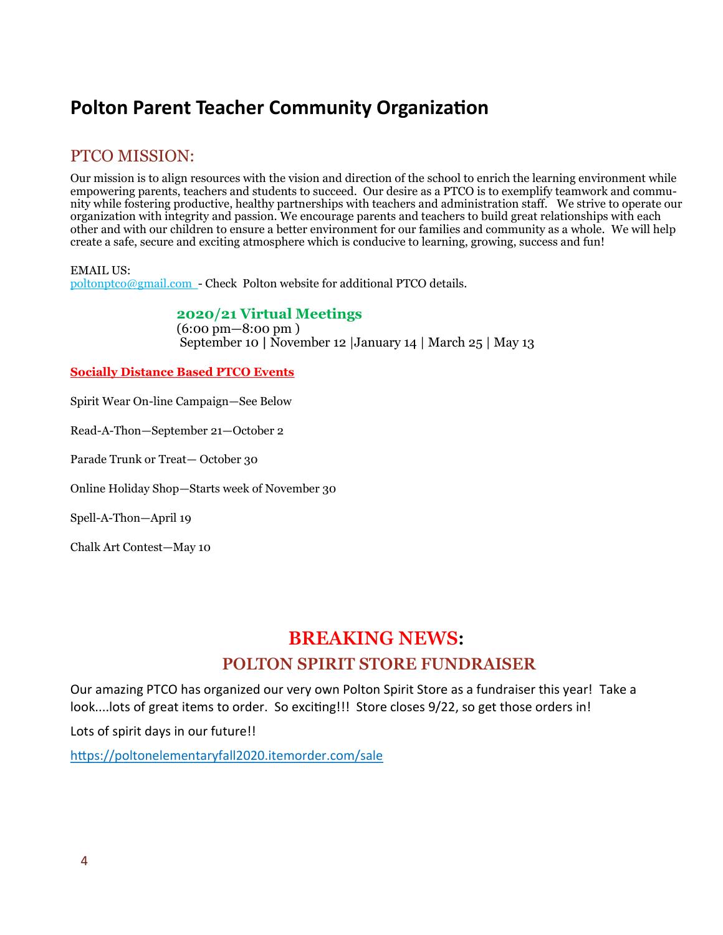# **Polton Parent Teacher Community Organization**

### PTCO MISSION:

Our mission is to align resources with the vision and direction of the school to enrich the learning environment while empowering parents, teachers and students to succeed. Our desire as a PTCO is to exemplify teamwork and community while fostering productive, healthy partnerships with teachers and administration staff. We strive to operate our organization with integrity and passion. We encourage parents and teachers to build great relationships with each other and with our children to ensure a better environment for our families and community as a whole. We will help create a safe, secure and exciting atmosphere which is conducive to learning, growing, success and fun!

EMAIL US: poltonptco@gmail.com - Check Polton website for additional PTCO details.

#### **2020/21 Virtual Meetings**

(6:00 pm—8:00 pm ) September 10 **|** November 12 |January 14 | March 25 | May 13

#### **Socially Distance Based PTCO Events**

Spirit Wear On-line Campaign—See Below

Read-A-Thon—September 21—October 2

Parade Trunk or Treat— October 30

Online Holiday Shop—Starts week of November 30

Spell-A-Thon—April 19

Chalk Art Contest—May 10

# **BREAKING NEWS: POLTON SPIRIT STORE FUNDRAISER**

Our amazing PTCO has organized our very own Polton Spirit Store as a fundraiser this year! Take a look....lots of great items to order. So exciting!!! Store closes 9/22, so get those orders in!

Lots of spirit days in our future!!

<https://poltonelementaryfall2020.itemorder.com/sale>